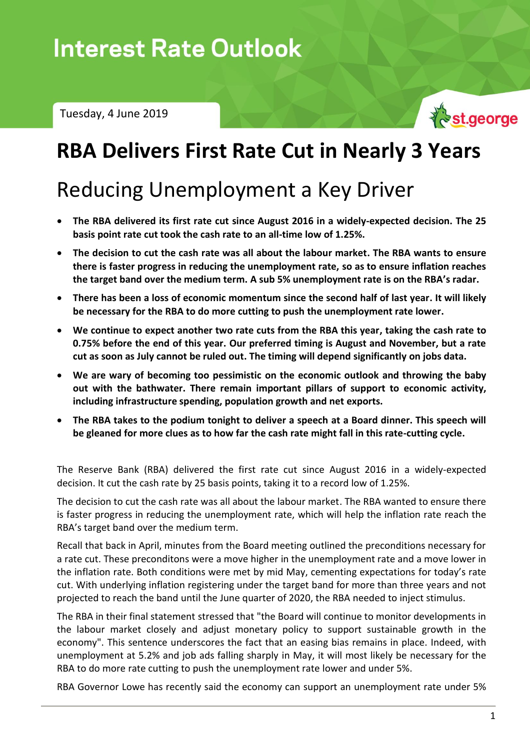Tuesday, 4 June 2019



# **RBA Delivers First Rate Cut in Nearly 3 Years**

# Reducing Unemployment a Key Driver

- **The RBA delivered its first rate cut since August 2016 in a widely-expected decision. The 25 basis point rate cut took the cash rate to an all-time low of 1.25%.**
- **The decision to cut the cash rate was all about the labour market. The RBA wants to ensure there is faster progress in reducing the unemployment rate, so as to ensure inflation reaches the target band over the medium term. A sub 5% unemployment rate is on the RBA's radar.**
- **There has been a loss of economic momentum since the second half of last year. It will likely be necessary for the RBA to do more cutting to push the unemployment rate lower.**
- **We continue to expect another two rate cuts from the RBA this year, taking the cash rate to 0.75% before the end of this year. Our preferred timing is August and November, but a rate cut as soon as July cannot be ruled out. The timing will depend significantly on jobs data.**
- **We are wary of becoming too pessimistic on the economic outlook and throwing the baby out with the bathwater. There remain important pillars of support to economic activity, including infrastructure spending, population growth and net exports.**
- **The RBA takes to the podium tonight to deliver a speech at a Board dinner. This speech will be gleaned for more clues as to how far the cash rate might fall in this rate-cutting cycle.**

The Reserve Bank (RBA) delivered the first rate cut since August 2016 in a widely-expected decision. It cut the cash rate by 25 basis points, taking it to a record low of 1.25%.

The decision to cut the cash rate was all about the labour market. The RBA wanted to ensure there is faster progress in reducing the unemployment rate, which will help the inflation rate reach the RBA's target band over the medium term.

Recall that back in April, minutes from the Board meeting outlined the preconditions necessary for a rate cut. These preconditons were a move higher in the unemployment rate and a move lower in the inflation rate. Both conditions were met by mid May, cementing expectations for today's rate cut. With underlying inflation registering under the target band for more than three years and not projected to reach the band until the June quarter of 2020, the RBA needed to inject stimulus.

The RBA in their final statement stressed that "the Board will continue to monitor developments in the labour market closely and adjust monetary policy to support sustainable growth in the economy". This sentence underscores the fact that an easing bias remains in place. Indeed, with unemployment at 5.2% and job ads falling sharply in May, it will most likely be necessary for the RBA to do more rate cutting to push the unemployment rate lower and under 5%.

RBA Governor Lowe has recently said the economy can support an unemployment rate under 5%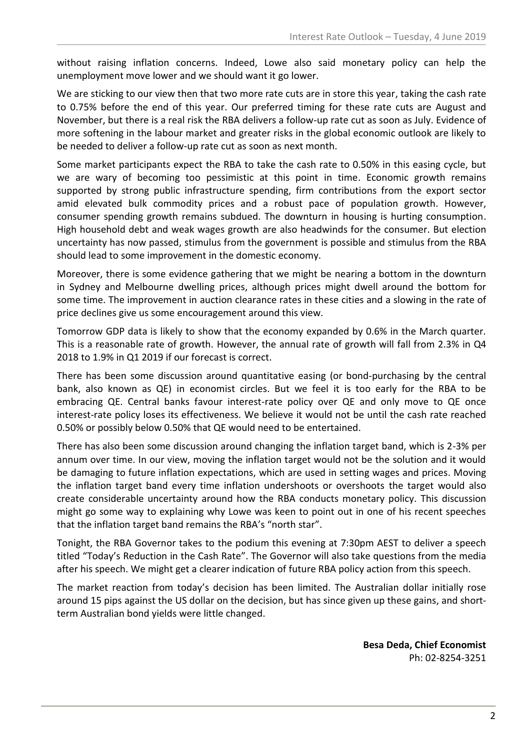without raising inflation concerns. Indeed, Lowe also said monetary policy can help the unemployment move lower and we should want it go lower.

We are sticking to our view then that two more rate cuts are in store this year, taking the cash rate to 0.75% before the end of this year. Our preferred timing for these rate cuts are August and November, but there is a real risk the RBA delivers a follow-up rate cut as soon as July. Evidence of more softening in the labour market and greater risks in the global economic outlook are likely to be needed to deliver a follow-up rate cut as soon as next month.

Some market participants expect the RBA to take the cash rate to 0.50% in this easing cycle, but we are wary of becoming too pessimistic at this point in time. Economic growth remains supported by strong public infrastructure spending, firm contributions from the export sector amid elevated bulk commodity prices and a robust pace of population growth. However, consumer spending growth remains subdued. The downturn in housing is hurting consumption. High household debt and weak wages growth are also headwinds for the consumer. But election uncertainty has now passed, stimulus from the government is possible and stimulus from the RBA should lead to some improvement in the domestic economy.

Moreover, there is some evidence gathering that we might be nearing a bottom in the downturn in Sydney and Melbourne dwelling prices, although prices might dwell around the bottom for some time. The improvement in auction clearance rates in these cities and a slowing in the rate of price declines give us some encouragement around this view.

Tomorrow GDP data is likely to show that the economy expanded by 0.6% in the March quarter. This is a reasonable rate of growth. However, the annual rate of growth will fall from 2.3% in Q4 2018 to 1.9% in Q1 2019 if our forecast is correct.

There has been some discussion around quantitative easing (or bond-purchasing by the central bank, also known as QE) in economist circles. But we feel it is too early for the RBA to be embracing QE. Central banks favour interest-rate policy over QE and only move to QE once interest-rate policy loses its effectiveness. We believe it would not be until the cash rate reached 0.50% or possibly below 0.50% that QE would need to be entertained.

There has also been some discussion around changing the inflation target band, which is 2-3% per annum over time. In our view, moving the inflation target would not be the solution and it would be damaging to future inflation expectations, which are used in setting wages and prices. Moving the inflation target band every time inflation undershoots or overshoots the target would also create considerable uncertainty around how the RBA conducts monetary policy. This discussion might go some way to explaining why Lowe was keen to point out in one of his recent speeches that the inflation target band remains the RBA's "north star".

Tonight, the RBA Governor takes to the podium this evening at 7:30pm AEST to deliver a speech titled "Today's Reduction in the Cash Rate". The Governor will also take questions from the media after his speech. We might get a clearer indication of future RBA policy action from this speech.

The market reaction from today's decision has been limited. The Australian dollar initially rose around 15 pips against the US dollar on the decision, but has since given up these gains, and shortterm Australian bond yields were little changed.

> **Besa Deda, Chief Economist** Ph: 02-8254-3251